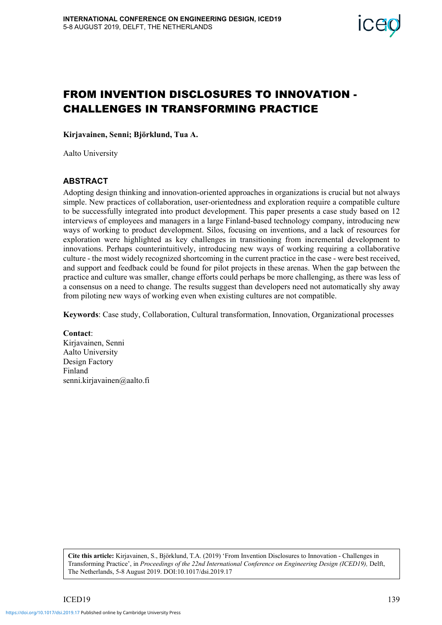

# FROM INVENTION DISCLOSURES TO INNOVATION - CHALLENGES IN TRANSFORMING PRACTICE

**Kirjavainen, Senni; Björklund, Tua A.** 

Aalto University

# **ABSTRACT**

Adopting design thinking and innovation-oriented approaches in organizations is crucial but not always simple. New practices of collaboration, user-orientedness and exploration require a compatible culture to be successfully integrated into product development. This paper presents a case study based on 12 interviews of employees and managers in a large Finland-based technology company, introducing new ways of working to product development. Silos, focusing on inventions, and a lack of resources for exploration were highlighted as key challenges in transitioning from incremental development to innovations. Perhaps counterintuitively, introducing new ways of working requiring a collaborative culture - the most widely recognized shortcoming in the current practice in the case - were best received, and support and feedback could be found for pilot projects in these arenas. When the gap between the practice and culture was smaller, change efforts could perhaps be more challenging, as there was less of a consensus on a need to change. The results suggest than developers need not automatically shy away from piloting new ways of working even when existing cultures are not compatible.

**Keywords**: Case study, Collaboration, Cultural transformation, Innovation, Organizational processes

#### **Contact**:

Kirjavainen, Senni Aalto University Design Factory Finland senni.kirjavainen@aalto.fi

**Cite this article:** Kirjavainen, S., Björklund, T.A. (2019) 'From Invention Disclosures to Innovation - Challenges in Transforming Practice', in *Proceedings of the 22nd International Conference on Engineering Design (ICED19),* Delft, The Netherlands, 5-8 August 2019. DOI:10.1017/dsi.2019.17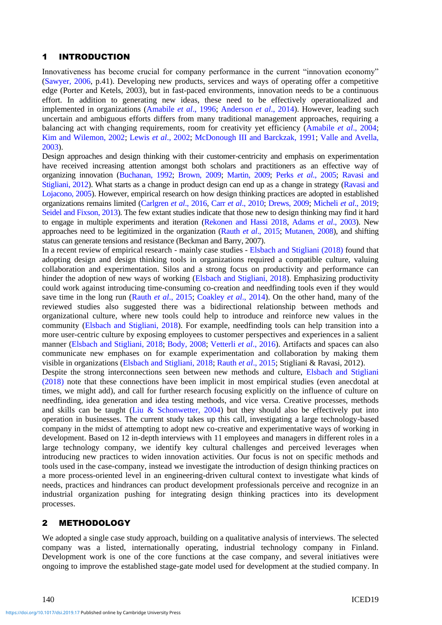# 1 INTRODUCTION

Innovativeness has become crucial for company performance in the current "innovation economy" [\(Sawyer, 2006,](#page-9-0) p.41). Developing new products, services and ways of operating offer a competitive edge (Porter and Ketels, 2003), but in fast-paced environments, innovation needs to be a continuous effort. In addition to generating new ideas, these need to be effectively operationalized and implemented in organizations [\(Amabile](#page-8-0) *et al*., 1996; [Anderson](#page-8-1) *et al*., 2014). However, leading such uncertain and ambiguous efforts differs from many traditional management approaches, requiring a balancing act with changing requirements, room for creativity yet efficiency [\(Amabile](#page-8-2) *et al*., 2004; [Kim and Wilemon, 2002;](#page-9-1) Lewis *et al*[., 2002;](#page-9-2) [McDonough III and Barckzak, 1991;](#page-9-3) [Valle and Avella,](#page-9-4)  [2003\)](#page-9-4).

Design approaches and design thinking with their customer-centricity and emphasis on experimentation have received increasing attention amongst both scholars and practitioners as an effective way of organizing innovation [\(Buchanan, 1992;](#page-8-3) [Brown, 2009;](#page-8-4) [Martin, 2009;](#page-9-5) Perks *et al*[., 2005;](#page-9-6) [Ravasi and](#page-9-7)  [Stigliani, 2012\)](#page-9-7). What starts as a change in product design can end up as a change in strategy (Ravasi and [Lojacono, 2005\)](#page-9-8). However, empirical research on how design thinking practices are adopted in established organizations remains limited [\(Carlgren](#page-8-5) *et al*., 2016, Carr *et al*[., 2010;](#page-8-6) [Drews, 2009;](#page-8-7) [Micheli](#page-9-9) *et al*., 2019; [Seidel and Fixson, 2013\)](#page-9-10). The few extant studies indicate that those new to design thinking may find it hard to engage in multiple experiments and iteration [\(Rekonen and Hassi 2018,](#page-9-11) [Adams](#page-8-8) *et al*., 2003). New approaches need to be legitimized in the organization (Rauth *et al*[., 2015;](#page-9-12) [Mutanen, 2008\)](#page-9-13), and shifting status can generate tensions and resistance (Beckman and Barry, 2007).

In a recent review of empirical research - mainly case studies - [Elsbach and Stigliani \(2018\)](#page-8-9) found that adopting design and design thinking tools in organizations required a compatible culture, valuing collaboration and experimentation. Silos and a strong focus on productivity and performance can hinder the adoption of new ways of working [\(Elsbach and Stigliani, 2018\)](#page-8-9). Emphasizing productivity could work against introducing time-consuming co-creation and needfinding tools even if they would save time in the long run (Rauth *et al*[., 2015;](#page-9-12) [Coakley](#page-8-10) *et al*., 2014). On the other hand, many of the reviewed studies also suggested there was a bidirectional relationship between methods and organizational culture, where new tools could help to introduce and reinforce new values in the community [\(Elsbach and Stigliani, 2018\)](#page-8-9). For example, needfinding tools can help transition into a more user-centric culture by exposing employees to customer perspectives and experiences in a salient manner [\(Elsbach and Stigliani, 2018;](#page-8-9) [Body, 2008;](#page-8-11) [Vetterli](#page-9-14) *et al*., 2016). Artifacts and spaces can also communicate new emphases on for example experimentation and collaboration by making them visible in organizations [\(Elsbach and Stigliani, 2018;](#page-8-9) Rauth *et al*[., 2015;](#page-9-12) Stigliani & Ravasi, 2012).

Despite the strong interconnections seen between new methods and culture, [Elsbach and Stigliani](#page-8-9)  [\(2018\)](#page-8-9) note that these connections have been implicit in most empirical studies (even anecdotal at times, we might add), and call for further research focusing explicitly on the influence of culture on needfinding, idea generation and idea testing methods, and vice versa. Creative processes, methods and skills can be taught [\(Liu & Schonwetter, 2004\)](#page-9-15) but they should also be effectively put into operation in businesses. The current study takes up this call, investigating a large technology-based company in the midst of attempting to adopt new co-creative and experimentative ways of working in development. Based on 12 in-depth interviews with 11 employees and managers in different roles in a large technology company, we identify key cultural challenges and perceived leverages when introducing new practices to widen innovation activities. Our focus is not on specific methods and tools used in the case-company, instead we investigate the introduction of design thinking practices on a more process-oriented level in an engineering-driven cultural context to investigate what kinds of needs, practices and hindrances can product development professionals perceive and recognize in an industrial organization pushing for integrating design thinking practices into its development processes.

# 2 METHODOLOGY

We adopted a single case study approach, building on a qualitative analysis of interviews. The selected company was a listed, internationally operating, industrial technology company in Finland. Development work is one of the core functions at the case company, and several initiatives were ongoing to improve the established stage-gate model used for development at the studied company. In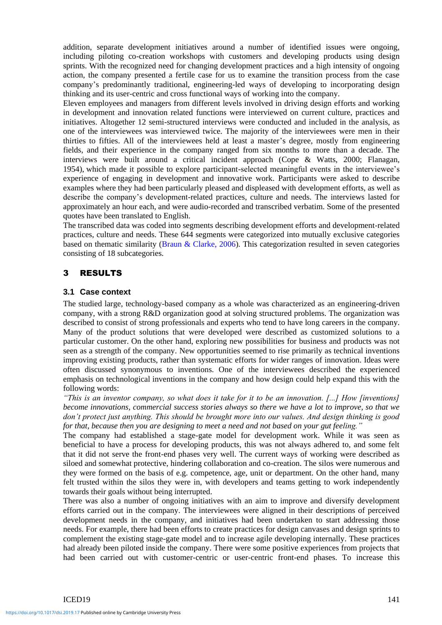addition, separate development initiatives around a number of identified issues were ongoing, including piloting co-creation workshops with customers and developing products using design sprints. With the recognized need for changing development practices and a high intensity of ongoing action, the company presented a fertile case for us to examine the transition process from the case company's predominantly traditional, engineering-led ways of developing to incorporating design thinking and its user-centric and cross functional ways of working into the company.

Eleven employees and managers from different levels involved in driving design efforts and working in development and innovation related functions were interviewed on current culture, practices and initiatives. Altogether 12 semi-structured interviews were conducted and included in the analysis, as one of the interviewees was interviewed twice. The majority of the interviewees were men in their thirties to fifties. All of the interviewees held at least a master's degree, mostly from engineering fields, and their experience in the company ranged from six months to more than a decade. The interviews were built around a critical incident approach (Cope & Watts, 2000; Flanagan, 1954), which made it possible to explore participant-selected meaningful events in the interviewee's experience of engaging in development and innovative work. Participants were asked to describe examples where they had been particularly pleased and displeased with development efforts, as well as describe the company's development-related practices, culture and needs. The interviews lasted for approximately an hour each, and were audio-recorded and transcribed verbatim. Some of the presented quotes have been translated to English.

The transcribed data was coded into segments describing development efforts and development-related practices, culture and needs. These 644 segments were categorized into mutually exclusive categories based on thematic similarity (Braun  $\&$  Clarke, 2006). This categorization resulted in seven categories consisting of 18 subcategories.

## 3 RESULTS

## **3.1 Case context**

The studied large, technology-based company as a whole was characterized as an engineering-driven company, with a strong R&D organization good at solving structured problems. The organization was described to consist of strong professionals and experts who tend to have long careers in the company. Many of the product solutions that were developed were described as customized solutions to a particular customer. On the other hand, exploring new possibilities for business and products was not seen as a strength of the company. New opportunities seemed to rise primarily as technical inventions improving existing products, rather than systematic efforts for wider ranges of innovation. Ideas were often discussed synonymous to inventions. One of the interviewees described the experienced emphasis on technological inventions in the company and how design could help expand this with the following words:

*"This is an inventor company, so what does it take for it to be an innovation. [...] How [inventions] become innovations, commercial success stories always so there we have a lot to improve, so that we don't protect just anything. This should be brought more into our values. And design thinking is good for that, because then you are designing to meet a need and not based on your gut feeling."* 

The company had established a stage-gate model for development work. While it was seen as beneficial to have a process for developing products, this was not always adhered to, and some felt that it did not serve the front-end phases very well. The current ways of working were described as siloed and somewhat protective, hindering collaboration and co-creation. The silos were numerous and they were formed on the basis of e.g. competence, age, unit or department. On the other hand, many felt trusted within the silos they were in, with developers and teams getting to work independently towards their goals without being interrupted.

There was also a number of ongoing initiatives with an aim to improve and diversify development efforts carried out in the company. The interviewees were aligned in their descriptions of perceived development needs in the company, and initiatives had been undertaken to start addressing those needs. For example, there had been efforts to create practices for design canvases and design sprints to complement the existing stage-gate model and to increase agile developing internally. These practices had already been piloted inside the company. There were some positive experiences from projects that had been carried out with customer-centric or user-centric front-end phases. To increase this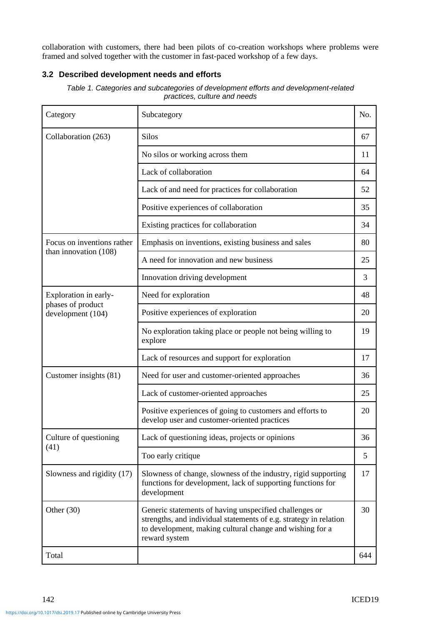collaboration with customers, there had been pilots of co-creation workshops where problems were framed and solved together with the customer in fast-paced workshop of a few days.

# **3.2 Described development needs and efforts**

| Category                                                        | Subcategory                                                                                                                                                                                              | No. |
|-----------------------------------------------------------------|----------------------------------------------------------------------------------------------------------------------------------------------------------------------------------------------------------|-----|
| Collaboration (263)                                             | <b>Silos</b>                                                                                                                                                                                             | 67  |
|                                                                 | No silos or working across them                                                                                                                                                                          | 11  |
|                                                                 | Lack of collaboration                                                                                                                                                                                    | 64  |
|                                                                 | Lack of and need for practices for collaboration                                                                                                                                                         | 52  |
|                                                                 | Positive experiences of collaboration                                                                                                                                                                    | 35  |
|                                                                 | Existing practices for collaboration                                                                                                                                                                     | 34  |
| Focus on inventions rather<br>than innovation (108)             | Emphasis on inventions, existing business and sales                                                                                                                                                      | 80  |
|                                                                 | A need for innovation and new business                                                                                                                                                                   | 25  |
|                                                                 | Innovation driving development                                                                                                                                                                           | 3   |
| Exploration in early-<br>phases of product<br>development (104) | Need for exploration                                                                                                                                                                                     | 48  |
|                                                                 | Positive experiences of exploration                                                                                                                                                                      | 20  |
|                                                                 | No exploration taking place or people not being willing to<br>explore                                                                                                                                    | 19  |
|                                                                 | Lack of resources and support for exploration                                                                                                                                                            | 17  |
| Customer insights (81)                                          | Need for user and customer-oriented approaches                                                                                                                                                           | 36  |
|                                                                 | Lack of customer-oriented approaches                                                                                                                                                                     | 25  |
|                                                                 | Positive experiences of going to customers and efforts to<br>develop user and customer-oriented practices                                                                                                | 20  |
| Culture of questioning<br>(41)                                  | Lack of questioning ideas, projects or opinions                                                                                                                                                          | 36  |
|                                                                 | Too early critique                                                                                                                                                                                       | 5   |
| Slowness and rigidity (17)                                      | Slowness of change, slowness of the industry, rigid supporting<br>functions for development, lack of supporting functions for<br>development                                                             | 17  |
| Other $(30)$                                                    | Generic statements of having unspecified challenges or<br>strengths, and individual statements of e.g. strategy in relation<br>to development, making cultural change and wishing for a<br>reward system | 30  |
| Total                                                           |                                                                                                                                                                                                          | 644 |

*Table 1. Categories and subcategories of development efforts and development-related practices, culture and needs*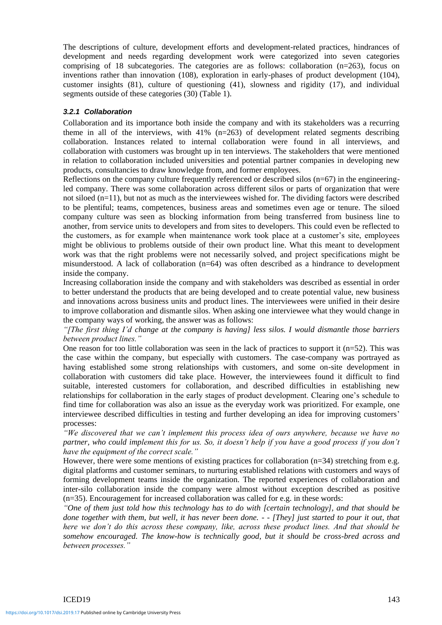The descriptions of culture, development efforts and development-related practices, hindrances of development and needs regarding development work were categorized into seven categories comprising of 18 subcategories. The categories are as follows: collaboration  $(n=263)$ , focus on inventions rather than innovation (108), exploration in early-phases of product development (104), customer insights (81), culture of questioning (41), slowness and rigidity (17), and individual segments outside of these categories (30) (Table 1).

#### *3.2.1 Collaboration*

Collaboration and its importance both inside the company and with its stakeholders was a recurring theme in all of the interviews, with 41% (n=263) of development related segments describing collaboration. Instances related to internal collaboration were found in all interviews, and collaboration with customers was brought up in ten interviews. The stakeholders that were mentioned in relation to collaboration included universities and potential partner companies in developing new products, consultancies to draw knowledge from, and former employees.

Reflections on the company culture frequently referenced or described silos  $(n=67)$  in the engineeringled company. There was some collaboration across different silos or parts of organization that were not siloed (n=11), but not as much as the interviewees wished for. The dividing factors were described to be plentiful; teams, competences, business areas and sometimes even age or tenure. The siloed company culture was seen as blocking information from being transferred from business line to another, from service units to developers and from sites to developers. This could even be reflected to the customers, as for example when maintenance work took place at a customer's site, employees might be oblivious to problems outside of their own product line. What this meant to development work was that the right problems were not necessarily solved, and project specifications might be misunderstood. A lack of collaboration (n=64) was often described as a hindrance to development inside the company.

Increasing collaboration inside the company and with stakeholders was described as essential in order to better understand the products that are being developed and to create potential value, new business and innovations across business units and product lines. The interviewees were unified in their desire to improve collaboration and dismantle silos. When asking one interviewee what they would change in the company ways of working, the answer was as follows:

*"[The first thing I'd change at the company is having] less silos. I would dismantle those barriers between product lines."* 

One reason for too little collaboration was seen in the lack of practices to support it  $(n=52)$ . This was the case within the company, but especially with customers. The case-company was portrayed as having established some strong relationships with customers, and some on-site development in collaboration with customers did take place. However, the interviewees found it difficult to find suitable, interested customers for collaboration, and described difficulties in establishing new relationships for collaboration in the early stages of product development. Clearing one's schedule to find time for collaboration was also an issue as the everyday work was prioritized. For example, one interviewee described difficulties in testing and further developing an idea for improving customers' processes:

*"We discovered that we can't implement this process idea of ours anywhere, because we have no partner, who could implement this for us. So, it doesn't help if you have a good process if you don't have the equipment of the correct scale."*

However, there were some mentions of existing practices for collaboration (n=34) stretching from e.g. digital platforms and customer seminars, to nurturing established relations with customers and ways of forming development teams inside the organization. The reported experiences of collaboration and inter-silo collaboration inside the company were almost without exception described as positive (n=35). Encouragement for increased collaboration was called for e.g. in these words:

*"One of them just told how this technology has to do with [certain technology], and that should be done together with them, but well, it has never been done. - - [They] just started to pour it out, that here we don't do this across these company, like, across these product lines. And that should be somehow encouraged. The know-how is technically good, but it should be cross-bred across and between processes."*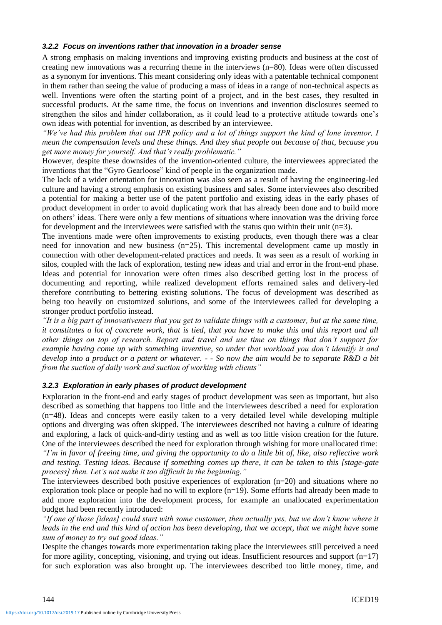#### *3.2.2 Focus on inventions rather that innovation in a broader sense*

A strong emphasis on making inventions and improving existing products and business at the cost of creating new innovations was a recurring theme in the interviews (n=80). Ideas were often discussed as a synonym for inventions. This meant considering only ideas with a patentable technical component in them rather than seeing the value of producing a mass of ideas in a range of non-technical aspects as well. Inventions were often the starting point of a project, and in the best cases, they resulted in successful products. At the same time, the focus on inventions and invention disclosures seemed to strengthen the silos and hinder collaboration, as it could lead to a protective attitude towards one's own ideas with potential for invention, as described by an interviewee.

*"We've had this problem that out IPR policy and a lot of things support the kind of lone inventor, I mean the compensation levels and these things. And they shut people out because of that, because you get more money for yourself. And that's really problematic."*

However, despite these downsides of the invention-oriented culture, the interviewees appreciated the inventions that the "Gyro Gearloose" kind of people in the organization made.

The lack of a wider orientation for innovation was also seen as a result of having the engineering-led culture and having a strong emphasis on existing business and sales. Some interviewees also described a potential for making a better use of the patent portfolio and existing ideas in the early phases of product development in order to avoid duplicating work that has already been done and to build more on others' ideas. There were only a few mentions of situations where innovation was the driving force for development and the interviewees were satisfied with the status quo within their unit  $(n=3)$ .

The inventions made were often improvements to existing products, even though there was a clear need for innovation and new business  $(n=25)$ . This incremental development came up mostly in connection with other development-related practices and needs. It was seen as a result of working in silos, coupled with the lack of exploration, testing new ideas and trial and error in the front-end phase. Ideas and potential for innovation were often times also described getting lost in the process of documenting and reporting, while realized development efforts remained sales and delivery-led therefore contributing to bettering existing solutions. The focus of development was described as being too heavily on customized solutions, and some of the interviewees called for developing a stronger product portfolio instead.

*"It is a big part of innovativeness that you get to validate things with a customer, but at the same time, it constitutes a lot of concrete work, that is tied, that you have to make this and this report and all other things on top of research. Report and travel and use time on things that don't support for example having come up with something inventive, so under that workload you don't identify it and develop into a product or a patent or whatever. - - So now the aim would be to separate R&D a bit from the suction of daily work and suction of working with clients"* 

#### *3.2.3 Exploration in early phases of product development*

Exploration in the front-end and early stages of product development was seen as important, but also described as something that happens too little and the interviewees described a need for exploration (n=48). Ideas and concepts were easily taken to a very detailed level while developing multiple options and diverging was often skipped. The interviewees described not having a culture of ideating and exploring, a lack of quick-and-dirty testing and as well as too little vision creation for the future. One of the interviewees described the need for exploration through wishing for more unallocated time: *"I'm in favor of freeing time, and giving the opportunity to do a little bit of, like, also reflective work and testing. Testing ideas. Because if something comes up there, it can be taken to this [stage-gate process] then. Let's not make it too difficult in the beginning."*

The interviewees described both positive experiences of exploration (n=20) and situations where no exploration took place or people had no will to explore (n=19). Some efforts had already been made to add more exploration into the development process, for example an unallocated experimentation budget had been recently introduced:

*"If one of those [ideas] could start with some customer, then actually yes, but we don't know where it leads in the end and this kind of action has been developing, that we accept, that we might have some sum of money to try out good ideas."*

Despite the changes towards more experimentation taking place the interviewees still perceived a need for more agility, concepting, visioning, and trying out ideas. Insufficient resources and support  $(n=17)$ for such exploration was also brought up. The interviewees described too little money, time, and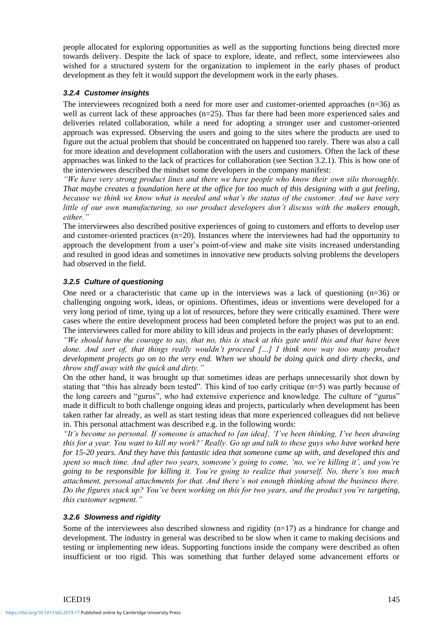people allocated for exploring opportunities as well as the supporting functions being directed more towards delivery. Despite the lack of space to explore, ideate, and reflect, some interviewees also wished for a structured system for the organization to implement in the early phases of product development as they felt it would support the development work in the early phases.

### *3.2.4 Customer insights*

The interviewees recognized both a need for more user and customer-oriented approaches  $(n=36)$  as well as current lack of these approaches  $(n=25)$ . Thus far there had been more experienced sales and deliveries related collaboration, while a need for adopting a stronger user and customer-oriented approach was expressed. Observing the users and going to the sites where the products are used to figure out the actual problem that should be concentrated on happened too rarely. There was also a call for more ideation and development collaboration with the users and customers. Often the lack of these approaches was linked to the lack of practices for collaboration (see Section 3.2.1). This is how one of the interviewees described the mindset some developers in the company manifest:

*"We have very strong product lines and there we have people who know their own silo thoroughly. That maybe creates a foundation here at the office for too much of this designing with a gut feeling, because we think we know what is needed and what's the status of the customer. And we have very little of our own manufacturing, so our product developers don't discuss with the makers enough, either."*

The interviewees also described positive experiences of going to customers and efforts to develop user and customer-oriented practices  $(n=20)$ . Instances where the interviewees had had the opportunity to approach the development from a user's point-of-view and make site visits increased understanding and resulted in good ideas and sometimes in innovative new products solving problems the developers had observed in the field.

## *3.2.5 Culture of questioning*

One need or a characteristic that came up in the interviews was a lack of questioning  $(n=36)$  or challenging ongoing work, ideas, or opinions. Oftentimes, ideas or inventions were developed for a very long period of time, tying up a lot of resources, before they were critically examined. There were cases where the entire development process had been completed before the project was put to an end. The interviewees called for more ability to kill ideas and projects in the early phases of development:

*"We should have the courage to say, that no, this is stuck at this gate until this and that have been done. And sort of, that things really wouldn't proceed […] I think now way too many product development projects go on to the very end. When we should be doing quick and dirty checks, and throw stuff away with the quick and dirty."* 

On the other hand, it was brought up that sometimes ideas are perhaps unnecessarily shot down by stating that "this has already been tested". This kind of too early critique (n=5) was partly because of the long careers and "gurus", who had extensive experience and knowledge. The culture of "gurus" made it difficult to both challenge ongoing ideas and projects, particularly when development has been taken rather far already, as well as start testing ideas that more experienced colleagues did not believe in. This personal attachment was described e.g. in the following words:

*"It's become so personal. If someone is attached to [an idea], 'I've been thinking, I've been drawing this for a year. You want to kill my work?' Really. Go up and talk to these guys who have worked here for 15-20 years. And they have this fantastic idea that someone came up with, and developed this and spent so much time. And after two years, someone's going to come, 'no, we're killing it', and you're going to be responsible for killing it. You're going to realize that yourself. No, there's too much attachment, personal attachments for that. And there's not enough thinking about the business there. Do the figures stack up? You've been working on this for two years, and the product you're targeting, this customer segment."*

#### *3.2.6 Slowness and rigidity*

Some of the interviewees also described slowness and rigidity  $(n=17)$  as a hindrance for change and development. The industry in general was described to be slow when it came to making decisions and testing or implementing new ideas. Supporting functions inside the company were described as often insufficient or too rigid. This was something that further delayed some advancement efforts or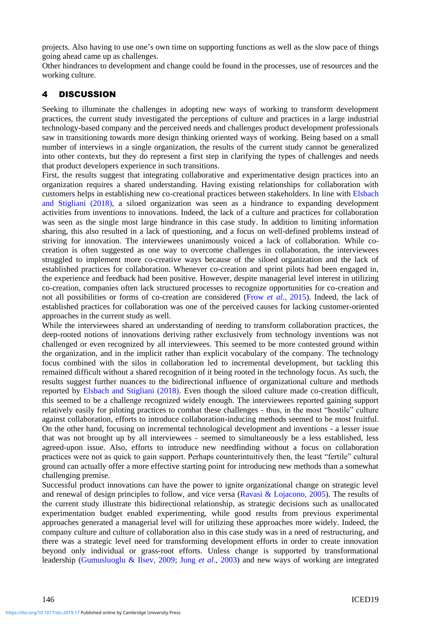projects. Also having to use one's own time on supporting functions as well as the slow pace of things going ahead came up as challenges.

Other hindrances to development and change could be found in the processes, use of resources and the working culture.

## 4 DISCUSSION

Seeking to illuminate the challenges in adopting new ways of working to transform development practices, the current study investigated the perceptions of culture and practices in a large industrial technology-based company and the perceived needs and challenges product development professionals saw in transitioning towards more design thinking oriented ways of working. Being based on a small number of interviews in a single organization, the results of the current study cannot be generalized into other contexts, but they do represent a first step in clarifying the types of challenges and needs that product developers experience in such transitions.

First, the results suggest that integrating collaborative and experimentative design practices into an organization requires a shared understanding. Having existing relationships for collaboration with customers helps in establishing new co-creational practices between stakeholders. In line with [Elsbach](#page-8-9)  [and Stigliani \(2018\),](#page-8-9) a siloed organization was seen as a hindrance to expanding development activities from inventions to innovations. Indeed, the lack of a culture and practices for collaboration was seen as the single most large hindrance in this case study. In addition to limiting information sharing, this also resulted in a lack of questioning, and a focus on well-defined problems instead of striving for innovation. The interviewees unanimously voiced a lack of collaboration. While cocreation is often suggested as one way to overcome challenges in collaboration, the interviewees struggled to implement more co-creative ways because of the siloed organization and the lack of established practices for collaboration. Whenever co-creation and sprint pilots had been engaged in, the experience and feedback had been positive. However, despite managerial level interest in utilizing co-creation, companies often lack structured processes to recognize opportunities for co-creation and not all possibilities or forms of co-creation are considered (Frow *et al*[., 2015\)](#page-9-16). Indeed, the lack of established practices for collaboration was one of the perceived causes for lacking customer-oriented approaches in the current study as well.

While the interviewees shared an understanding of needing to transform collaboration practices, the deep-rooted notions of innovations deriving rather exclusively from technology inventions was not challenged or even recognized by all interviewees. This seemed to be more contested ground within the organization, and in the implicit rather than explicit vocabulary of the company. The technology focus combined with the silos in collaboration led to incremental development, but tackling this remained difficult without a shared recognition of it being rooted in the technology focus. As such, the results suggest further nuances to the bidirectional influence of organizational culture and methods reported by [Elsbach and Stigliani \(2018\).](#page-8-9) Even though the siloed culture made co-creation difficult, this seemed to be a challenge recognized widely enough. The interviewees reported gaining support relatively easily for piloting practices to combat these challenges - thus, in the most "hostile" culture against collaboration, efforts to introduce collaboration-inducing methods seemed to be most fruitful. On the other hand, focusing on incremental technological development and inventions - a lesser issue that was not brought up by all interviewees - seemed to simultaneously be a less established, less agreed-upon issue. Also, efforts to introduce new needfinding without a focus on collaboration practices were not as quick to gain support. Perhaps counterintuitively then, the least "fertile" cultural ground can actually offer a more effective starting point for introducing new methods than a somewhat challenging premise.

Successful product innovations can have the power to ignite organizational change on strategic level and renewal of design principles to follow, and vice versa [\(Ravasi & Lojacono, 2005\)](#page-9-8). The results of the current study illustrate this bidirectional relationship, as strategic decisions such as unallocated experimentation budget enabled experimenting, while good results from previous experimental approaches generated a managerial level will for utilizing these approaches more widely. Indeed, the company culture and culture of collaboration also in this case study was in a need of restructuring, and there was a strategic level need for transforming development efforts in order to create innovation beyond only individual or grass-root efforts. Unless change is supported by transformational leadership [\(Gumusluoglu & Ilsev, 2009;](#page-9-17) [Jung](#page-9-18) *et al*., 2003) and new ways of working are integrated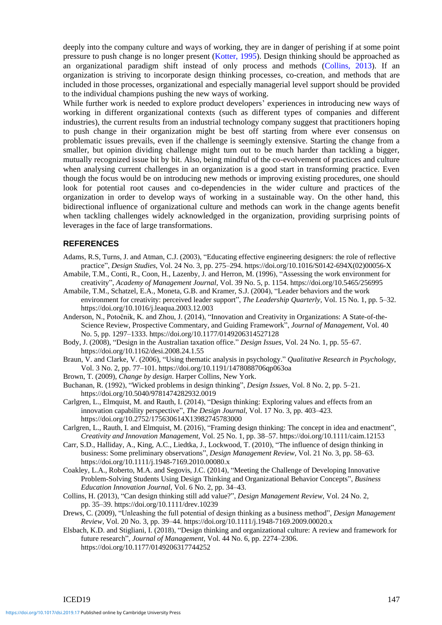deeply into the company culture and ways of working, they are in danger of perishing if at some point pressure to push change is no longer present [\(Kotter, 1995\)](#page-9-19). Design thinking should be approached as an organizational paradigm shift instead of only process and methods [\(Collins, 2013\)](#page-8-13). If an organization is striving to incorporate design thinking processes, co-creation, and methods that are included in those processes, organizational and especially managerial level support should be provided to the individual champions pushing the new ways of working.

While further work is needed to explore product developers' experiences in introducing new ways of working in different organizational contexts (such as different types of companies and different industries), the current results from an industrial technology company suggest that practitioners hoping to push change in their organization might be best off starting from where ever consensus on problematic issues prevails, even if the challenge is seemingly extensive. Starting the change from a smaller, but opinion dividing challenge might turn out to be much harder than tackling a bigger, mutually recognized issue bit by bit. Also, being mindful of the co-evolvement of practices and culture when analysing current challenges in an organization is a good start in transforming practice. Even though the focus would be on introducing new methods or improving existing procedures, one should look for potential root causes and co-dependencies in the wider culture and practices of the organization in order to develop ways of working in a sustainable way. On the other hand, this bidirectional influence of organizational culture and methods can work in the change agents benefit when tackling challenges widely acknowledged in the organization, providing surprising points of leverages in the face of large transformations.

#### **REFERENCES**

- <span id="page-8-8"></span>Adams, R.S, Turns, J. and Atman, C.J. (2003), "Educating effective engineering designers: the role of reflective practice", *Design Studies*, Vol. 24 No. 3, pp. 275–294. https://doi.org/10.1016/S0142-694X(02)00056-X
- <span id="page-8-0"></span>Amabile, T.M., Conti, R., Coon, H., Lazenby, J. and Herron, M. (1996), "Assessing the work environment for creativity", *Academy of Management Journal*, Vol. 39 No. 5, p. 1154. https://doi.org/10.5465/256995
- <span id="page-8-2"></span>Amabile, T.M., Schatzel, E.A., Moneta, G.B. and Kramer, S.J. (2004), "Leader behaviors and the work environment for creativity: perceived leader support", *The Leadership Quarterly*, Vol. 15 No. 1, pp. 5–32. https://doi.org/10.1016/j.leaqua.2003.12.003
- <span id="page-8-1"></span>Anderson, N., Potočnik, K. and Zhou, J. (2014), "Innovation and Creativity in Organizations: A State-of-the-Science Review, Prospective Commentary, and Guiding Framework", *Journal of Management*, Vol. 40 No. 5, pp. 1297–1333. https://doi.org/10.1177/0149206314527128
- <span id="page-8-11"></span>Body, J. (2008), "Design in the Australian taxation office." *Design Issues*, Vol. 24 No. 1, pp. 55–67. https://doi.org/10.1162/desi.2008.24.1.55
- <span id="page-8-12"></span>Braun, V. and Clarke, V. (2006), "Using thematic analysis in psychology." *Qualitative Research in Psychology*, Vol. 3 No. 2, pp. 77–101. https://doi.org/10.1191/1478088706qp063oa
- <span id="page-8-4"></span>Brown, T. (2009), *Change by design*. Harper Collins, New York.
- <span id="page-8-3"></span>Buchanan, R. (1992), "Wicked problems in design thinking", *Design Issues*, Vol. 8 No. 2, pp. 5–21. https://doi.org/10.5040/9781474282932.0019
- Carlgren, L., Elmquist, M. and Rauth, I. (2014), "Design thinking: Exploring values and effects from an innovation capability perspective", *The Design Journal*, Vol. 17 No. 3, pp. 403–423. https://doi.org/10.2752/175630614X13982745783000
- <span id="page-8-5"></span>Carlgren, L., Rauth, I. and Elmquist, M. (2016), "Framing design thinking: The concept in idea and enactment", *Creativity and Innovation Management*, Vol. 25 No. 1, pp. 38–57. https://doi.org/10.1111/caim.12153
- <span id="page-8-6"></span>Carr, S.D., Halliday, A., King, A.C., Liedtka, J., Lockwood, T. (2010), "The influence of design thinking in business: Some preliminary observations", *Design Management Review*, Vol. 21 No. 3, pp. 58–63. https://doi.org/10.1111/j.1948-7169.2010.00080.x
- <span id="page-8-10"></span>Coakley, L.A., Roberto, M.A. and Segovis, J.C. (2014), "Meeting the Challenge of Developing Innovative Problem-Solving Students Using Design Thinking and Organizational Behavior Concepts", *Business Education Innovation Journal*, Vol. 6 No. 2, pp. 34–43.
- <span id="page-8-13"></span>Collins, H. (2013), "Can design thinking still add value?", *Design Management Review*, Vol. 24 No. 2, pp. 35–39. https://doi.org/10.1111/drev.10239
- <span id="page-8-7"></span>Drews, C. (2009), "Unleashing the full potential of design thinking as a business method", *Design Management Review*, Vol. 20 No. 3, pp. 39–44. https://doi.org/10.1111/j.1948-7169.2009.00020.x
- <span id="page-8-9"></span>Elsbach, K.D. and Stigliani, I. (2018), "Design thinking and organizational culture: A review and framework for future research", *Journal of Management*, Vol. 44 No. 6, pp. 2274–2306. https://doi.org/10.1177/0149206317744252